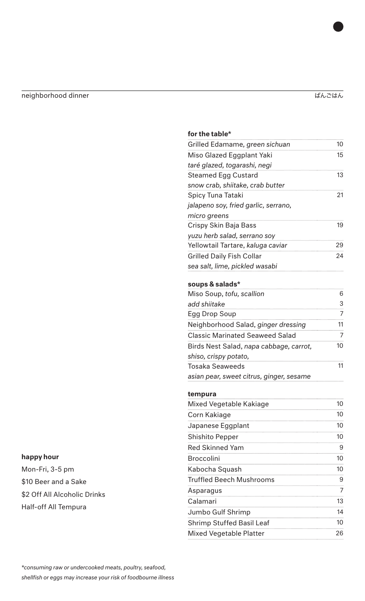#### for the table\*

| Grilled Edamame, green sichuan       | 10 |
|--------------------------------------|----|
| Miso Glazed Eggplant Yaki            | 15 |
| taré glazed, togarashi, negi         |    |
| <b>Steamed Egg Custard</b>           | 13 |
| snow crab, shiitake, crab butter     |    |
| Spicy Tuna Tataki                    | 21 |
| jalapeno soy, fried garlic, serrano, |    |
| micro greens                         |    |
| Crispy Skin Baja Bass                | 19 |
| yuzu herb salad, serrano soy         |    |
| Yellowtail Tartare, kaluga caviar    | 29 |
| <b>Grilled Daily Fish Collar</b>     | 24 |
| sea salt, lime, pickled wasabi       |    |

#### soups & salads\*

| Miso Soup, tofu, scallion                |    |
|------------------------------------------|----|
| add shiitake                             | 3  |
| Egg Drop Soup                            |    |
| Neighborhood Salad, ginger dressing      |    |
| <b>Classic Marinated Seaweed Salad</b>   |    |
| Birds Nest Salad, napa cabbage, carrot,  | 10 |
| shiso, crispy potato,                    |    |
| <b>Tosaka Seaweeds</b>                   |    |
| asian pear, sweet citrus, ginger, sesame |    |

#### tempura

| Mixed Vegetable Kakiage          | 10 |
|----------------------------------|----|
| Corn Kakiage                     | 10 |
| Japanese Eggplant                | 10 |
| <b>Shishito Pepper</b>           | 10 |
| <b>Red Skinned Yam</b>           | 9  |
| <b>Broccolini</b>                | 10 |
| Kabocha Squash                   | 10 |
| <b>Truffled Beech Mushrooms</b>  | 9  |
| Asparagus                        | 7  |
| Calamari                         | 13 |
| Jumbo Gulf Shrimp                | 14 |
| <b>Shrimp Stuffed Basil Leaf</b> | 10 |
| <b>Mixed Vegetable Platter</b>   | 26 |
|                                  |    |

#### happy hour

Mon-Fri, 3-5 pm \$10 Beer and a Sake \$2 Off All Alcoholic Drinks Half-off All Tempura